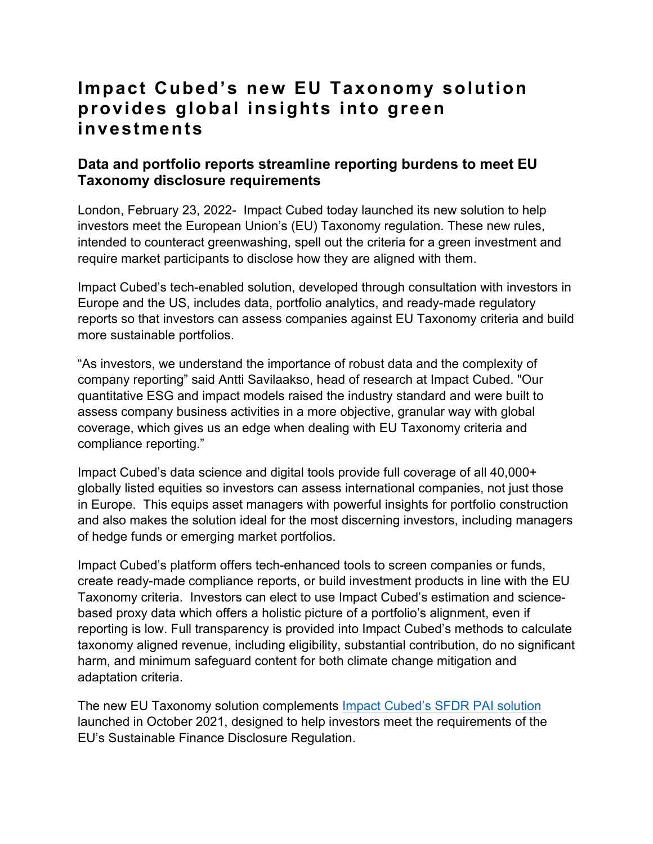## **Impact Cubed's new EU Taxonomy solution provides global insights into green investments**

## **Data and portfolio reports streamline reporting burdens to meet EU Taxonomy disclosure requirements**

London, February 23, 2022- Impact Cubed today launched its new solution to help investors meet the European Union's (EU) Taxonomy regulation. These new rules, intended to counteract greenwashing, spell out the criteria for a green investment and require market participants to disclose how they are aligned with them.

Impact Cubed's tech-enabled solution, developed through consultation with investors in Europe and the US, includes data, portfolio analytics, and ready-made regulatory reports so that investors can assess companies against EU Taxonomy criteria and build more sustainable portfolios.

"As investors, we understand the importance of robust data and the complexity of company reporting" said Antti Savilaakso, head of research at Impact Cubed. "Our quantitative ESG and impact models raised the industry standard and were built to assess company business activities in a more objective, granular way with global coverage, which gives us an edge when dealing with EU Taxonomy criteria and compliance reporting."

Impact Cubed's data science and digital tools provide full coverage of all 40,000+ globally listed equities so investors can assess international companies, not just those in Europe. This equips asset managers with powerful insights for portfolio construction and also makes the solution ideal for the most discerning investors, including managers of hedge funds or emerging market portfolios.

Impact Cubed's platform offers tech-enhanced tools to screen companies or funds, create ready-made compliance reports, or build investment products in line with the EU Taxonomy criteria. Investors can elect to use Impact Cubed's estimation and sciencebased proxy data which offers a holistic picture of a portfolio's alignment, even if reporting is low. Full transparency is provided into Impact Cubed's methods to calculate taxonomy aligned revenue, including eligibility, substantial contribution, do no significant harm, and minimum safeguard content for both climate change mitigation and adaptation criteria.

The new EU Taxonomy solution complements Impact Cubed's SFDR PAI solution launched in October 2021, designed to help investors meet the requirements of the EU's Sustainable Finance Disclosure Regulation.